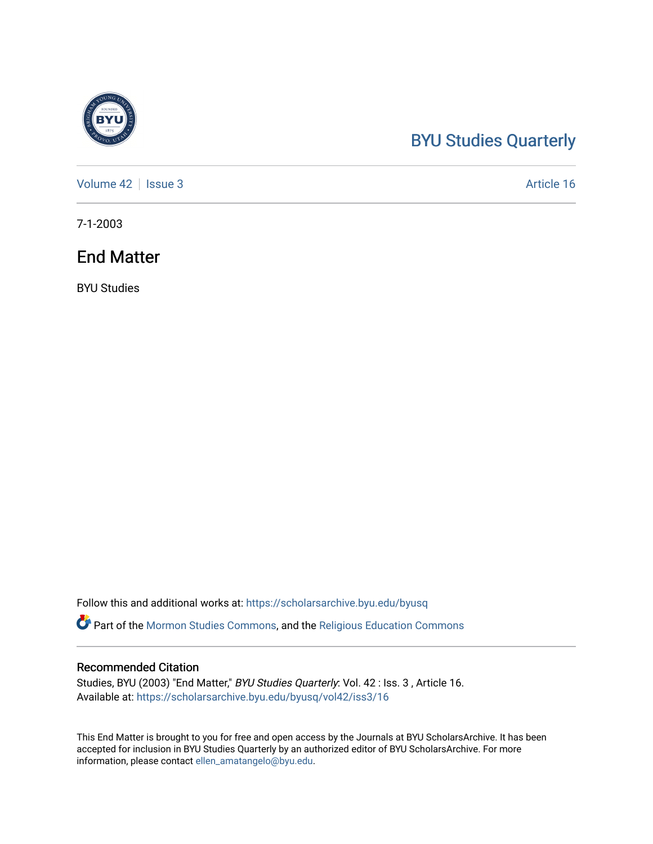# [BYU Studies Quarterly](https://scholarsarchive.byu.edu/byusq)

[Volume 42](https://scholarsarchive.byu.edu/byusq/vol42) | [Issue 3](https://scholarsarchive.byu.edu/byusq/vol42/iss3) Article 16

7-1-2003

# End Matter

BYU Studies

Follow this and additional works at: [https://scholarsarchive.byu.edu/byusq](https://scholarsarchive.byu.edu/byusq?utm_source=scholarsarchive.byu.edu%2Fbyusq%2Fvol42%2Fiss3%2F16&utm_medium=PDF&utm_campaign=PDFCoverPages) 

Part of the [Mormon Studies Commons](http://network.bepress.com/hgg/discipline/1360?utm_source=scholarsarchive.byu.edu%2Fbyusq%2Fvol42%2Fiss3%2F16&utm_medium=PDF&utm_campaign=PDFCoverPages), and the [Religious Education Commons](http://network.bepress.com/hgg/discipline/1414?utm_source=scholarsarchive.byu.edu%2Fbyusq%2Fvol42%2Fiss3%2F16&utm_medium=PDF&utm_campaign=PDFCoverPages) 

## Recommended Citation

Studies, BYU (2003) "End Matter," BYU Studies Quarterly: Vol. 42 : Iss. 3 , Article 16. Available at: [https://scholarsarchive.byu.edu/byusq/vol42/iss3/16](https://scholarsarchive.byu.edu/byusq/vol42/iss3/16?utm_source=scholarsarchive.byu.edu%2Fbyusq%2Fvol42%2Fiss3%2F16&utm_medium=PDF&utm_campaign=PDFCoverPages) 

This End Matter is brought to you for free and open access by the Journals at BYU ScholarsArchive. It has been accepted for inclusion in BYU Studies Quarterly by an authorized editor of BYU ScholarsArchive. For more information, please contact [ellen\\_amatangelo@byu.edu.](mailto:ellen_amatangelo@byu.edu)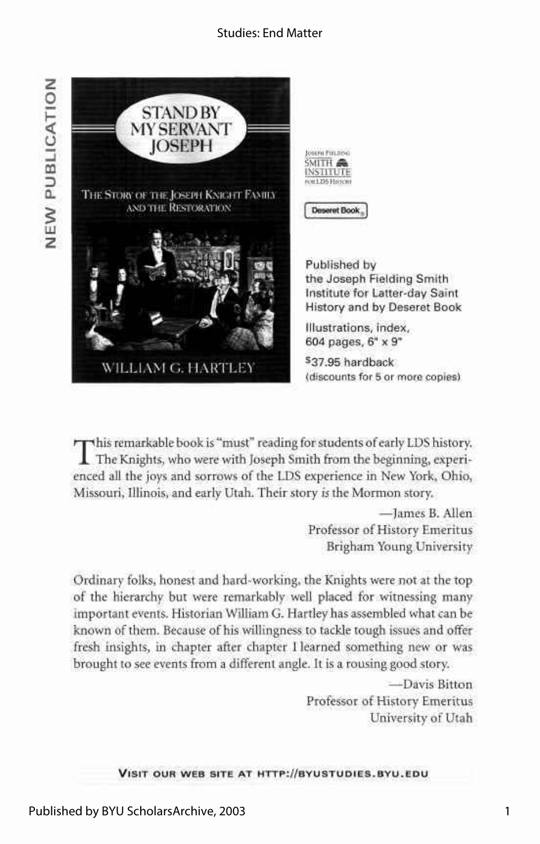### Studies: End Matter



Joseph Futubino SMITH & **INSTITUTE** réel LDS Historien

**Deseret Book** 

Published by the Joseph Fielding Smith Institute for Latter-day Saint History and by Deseret Book

**ustrations, index, 604 pages, 6" x 9"** 

**^37.95 hardback**  (discounts **for** 5 **or** more copies)

This remarkable book is "must" reading for students of early LDS history.<br>The Knights, who were with Joseph Smith from the beginning, experienced all the joys and sorrows of the LDS experience in New York, Ohio, his remarkable book is "must" reading for students of early LDS history. The Knights, who were with Joseph Smith from the beginning, experi-Missouri, Illinois, and early Utah. Their story *is* the Mormon story.

> —James B. Allen Professor of History Emeritus Brigham Young University

Ordinary folks, honest and hard-working, the Knights were not at the top of the hierarchy but were remarkably well placed for witnessing many important events. Historian William G. Hartley has assembled what can be known of them. Because of his willingness to tackle tough issues and offer fresh insights, in chapter after chapter I learned something new or was brought to see events from a different angle. It is a rousing good story.

> —Davis Bitton Professor of History Emeritus University of Utah

**VISIT OUR WEB SITE AT [HTTP://BYUSTUDIES.BYU.EDU](http://byustudies.byu.edu)**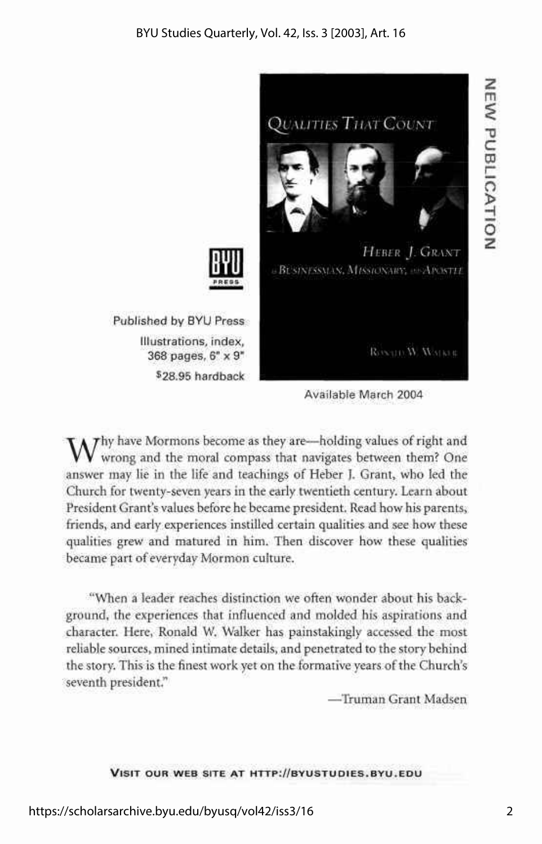

Available March 2004

 $W$ hy have Mormons become as they are—holding values of right and wrong and the moral compass that navigates between them? One wrong and the moral compass that navigates between them? One answer may lie in the life and teachings of Heber J. Grant, who led the Church for twenty-seven years in the early twentieth century. Learn about President Grant's values before he became president. Read how his parents, friends, and early experiences instilled certain qualities and see how these qualities grew and matured in him. Then discover how these qualities became part of everyday Mormon culture.

"When a leader reaches distinction we often wonder about his background, the experiences that influenced and molded his aspirations and character. Here, Ronald W. Walker has painstakingly accessed the most reliable sources, mined intimate details, and penetrated to the story behind the story. This is the finest work yet on the formative years of the Church's seventh president."

—Truman Grant Madsen

#### **VISI T OUR WEB SITE AT [HTTP://BYUSTUDIES.BYU.ED](http://byustudies.byu.edu) U**

**m** 

**C** 

**u** 

**> H O Z**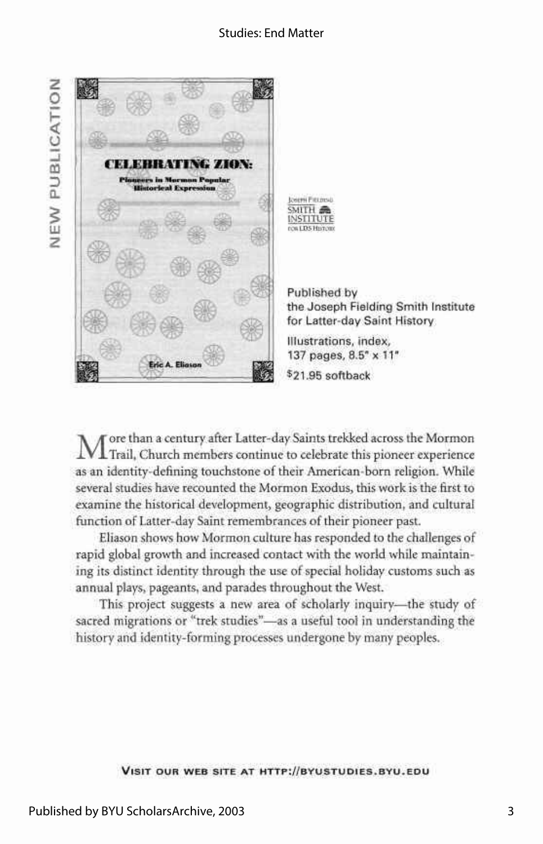**z**   $\tilde{=}$ ۹ *m D*  LU



 $\mathbf M$ ore than a century after Latter-day Saints trekked across the Mormon Trail, Church members continue to celebrate this pioneer experience ore than a century after Latter-day Saints trekked across the Mormon as an identity-defining touchstone of their American-born religion. While several studies have recounted the Mormon Exodus, this work is the first to examine the historical development, geographic distribution, and cultural function of Latter-day Saint remembrances of their pioneer past.

Eliason shows how Mormon culture has responded to the challenges of rapid global growth and increased contact with the world while maintaining its distinct identity through the use of special holiday customs such as annual plays, pageants, and parades throughout the West.

This project suggests a new area of scholarly inquiry—the study of sacred migrations or "trek studies"—as a useful tool in understanding the history and identity-forming processes undergone by many peoples.

#### **VISI T OU R WE B SITE A T [HTTP://BYUSTUDIES.BYU.ED](http://byustudies.byu.edu) U**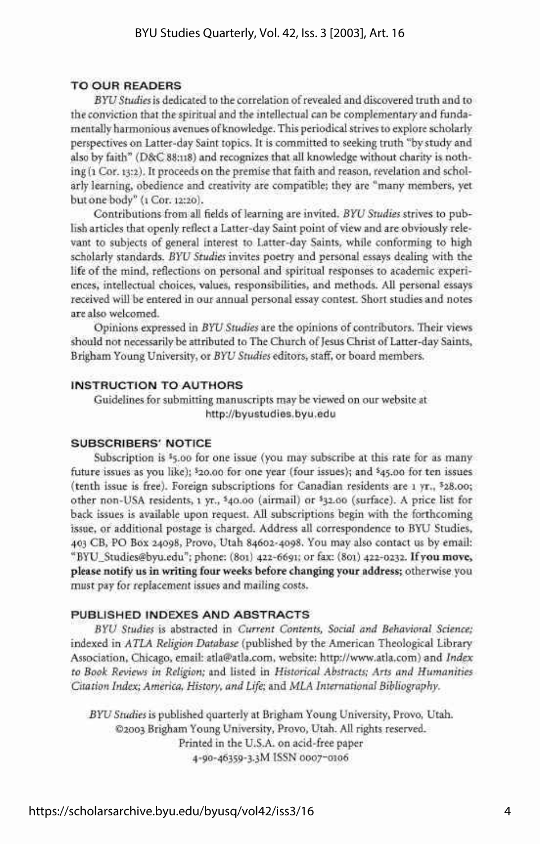#### TO OUR READERS

*BYU Studies* is dedicated to the correlation of revealed and discovered truth and to the conviction that the spiritual and the intellectual can be complementary and fundamentally harmonious avenues of knowledge. This periodical strives to explore scholarly perspectives on Latter-day Saint topics. It is committed to seeking truth "by study and also by faith" (D&C 88:118) and recognizes that all knowledge without charity is nothing (1 Cor. 13:2). It proceeds on the premise that faith and reason, revelation and scholarly learning, obedience and creativity are compatible; they are "many members, yet but one body" (1 Cor. 12:20).

Contributions from all fields of learning are invited. *BYU Studies* strives to publish articles that openly reflect a Latter-day Saint point of view and are obviously relevant to subjects of general interest to Latter-day Saints, while conforming to high scholarly standards. *BYU Studies* invites poetry and personal essays dealing with the life of the mind, reflections on personal and spiritual responses to academic experiences, intellectual choices, values, responsibilities, and methods. All personal essays received will be entered in our annual personal essay contest. Short studies and notes are also welcomed.

Opinions expressed in *BYU Studies* are the opinions of contributors. Their views should not necessarily be attributed to The Church of Jesus Christ of Latter-day Saints, Brigham Young University, or *BYU Studies* editors, staff, or board members.

#### INSTRUCTION TO AUTHORS

Guidelines for submitting manuscripts may be viewed on our website at <http://byustudies.byu.edu>

#### SUBSCRIBERS' NOTICE

Subscription is <sup>1</sup>5.00 for one issue (you may subscribe at this rate for as many future issues as you like); \$20.00 for one year (four issues); and \$45.00 for ten issues (tenth issue is free). Foreign subscriptions for Canadian residents are 1 yr., s 28.oo; other non-USA residents, 1 yr., \$ 40.oo (airmail) or \$ 32.oo (surface). A price list for back issues is available upon request. All subscriptions begin with the forthcoming issue, or additional postage is charged. Address all correspondence to BYU Studies, 403 CB, PO Box 24098, Provo, Utah 84602-4098. You may also contact us by email: ["BYU\\_Studies@byu.edu";](mailto:BYU_Studies@byu.edu) phone: (801) 422-6691; or fax: (801) 422-0232. **If you move, please notify us in writing four weeks before changing your address;** otherwise you must pay for replacement issues and mailing costs.

#### PUBLISHED INDEXES AND ABSTRACTS

*BYU Studies* is abstracted in *Current Contents, Social and Behavioral Science;*  indexed in *ATLA Religion Database* (published by the American Theological Library Association, Chicago, email: [atla@atla.com,](mailto:atla@atla.com) website: [http://www.atla.com\)](http://www.atla.com) and *Index to Book Reviews in Religion;* and listed in *Historical Abstracts; Arts and Humanities Citation Index; America, History, and Life;* and *MLA International Bibliography.* 

*BYU Studies* is published quarterly at Brigham Young University, Provo, Utah. ©2003 Brigham Young University, Provo, Utah. All rights reserved. Printed in the U.S.A. on acid-free paper 4-90-46359-3.3M ISSN 0007-0106